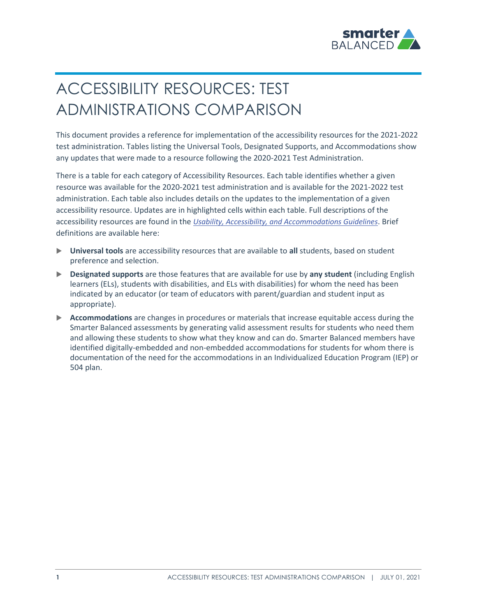

# ACCESSIBILITY RESOURCES: TEST ADMINISTRATIONS COMPARISON

This document provides a reference for implementation of the accessibility resources for the 2021-2022 test administration. Tables listing the Universal Tools, Designated Supports, and Accommodations show any updates that were made to a resource following the 2020-2021 Test Administration.

There is a table for each category of Accessibility Resources. Each table identifies whether a given resource was available for the 2020-2021 test administration and is available for the 2021-2022 test administration. Each table also includes details on the updates to the implementation of a given accessibility resource. Updates are in highlighted cells within each table. Full descriptions of the accessibility resources are found in the *[Usability, Accessibility, and Accommodations Guidelines](https://portal.smarterbalanced.org/library/en/usability-accessibility-and-accommodations-guidelines.pdf)*. Brief definitions are available here:

- **Universal tools** are accessibility resources that are available to **all** students, based on student preference and selection.
- **Designated supports** are those features that are available for use by **any student** (including English learners (ELs), students with disabilities, and ELs with disabilities) for whom the need has been indicated by an educator (or team of educators with parent/guardian and student input as appropriate).
- **Accommodations** are changes in procedures or materials that increase equitable access during the Smarter Balanced assessments by generating valid assessment results for students who need them and allowing these students to show what they know and can do. Smarter Balanced members have identified digitally-embedded and non-embedded accommodations for students for whom there is documentation of the need for the accommodations in an Individualized Education Program (IEP) or 504 plan.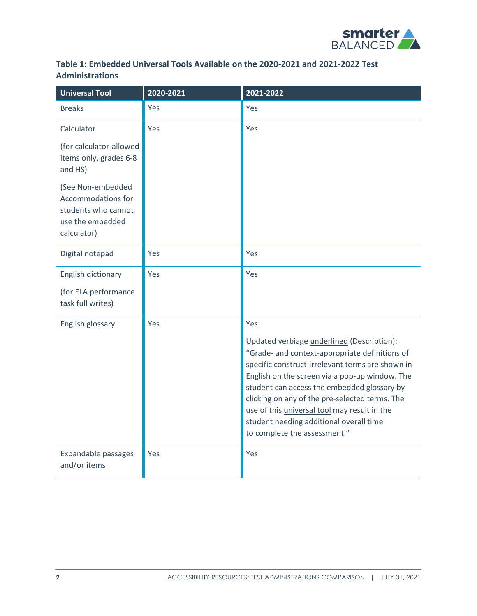

#### **Table 1: Embedded Universal Tools Available on the 2020-2021 and 2021-2022 Test Administrations**

| <b>Universal Tool</b>                                                                             | 2020-2021 | 2021-2022                                                                                                                                                                                                                                                                                                                                                                                                                             |
|---------------------------------------------------------------------------------------------------|-----------|---------------------------------------------------------------------------------------------------------------------------------------------------------------------------------------------------------------------------------------------------------------------------------------------------------------------------------------------------------------------------------------------------------------------------------------|
| <b>Breaks</b>                                                                                     | Yes       | Yes                                                                                                                                                                                                                                                                                                                                                                                                                                   |
| Calculator                                                                                        | Yes       | Yes                                                                                                                                                                                                                                                                                                                                                                                                                                   |
| (for calculator-allowed<br>items only, grades 6-8<br>and HS)                                      |           |                                                                                                                                                                                                                                                                                                                                                                                                                                       |
| (See Non-embedded<br>Accommodations for<br>students who cannot<br>use the embedded<br>calculator) |           |                                                                                                                                                                                                                                                                                                                                                                                                                                       |
| Digital notepad                                                                                   | Yes       | Yes                                                                                                                                                                                                                                                                                                                                                                                                                                   |
| English dictionary                                                                                | Yes       | Yes                                                                                                                                                                                                                                                                                                                                                                                                                                   |
| (for ELA performance<br>task full writes)                                                         |           |                                                                                                                                                                                                                                                                                                                                                                                                                                       |
| English glossary                                                                                  | Yes       | Yes                                                                                                                                                                                                                                                                                                                                                                                                                                   |
|                                                                                                   |           | Updated verbiage underlined (Description):<br>"Grade- and context-appropriate definitions of<br>specific construct-irrelevant terms are shown in<br>English on the screen via a pop-up window. The<br>student can access the embedded glossary by<br>clicking on any of the pre-selected terms. The<br>use of this <i>universal tool</i> may result in the<br>student needing additional overall time<br>to complete the assessment." |
| Expandable passages<br>and/or items                                                               | Yes       | Yes                                                                                                                                                                                                                                                                                                                                                                                                                                   |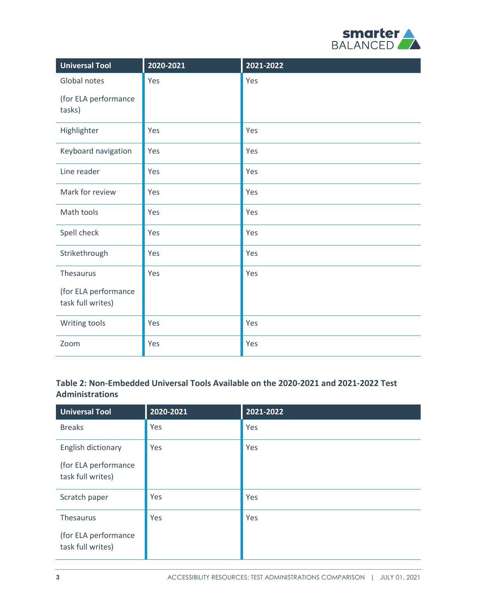

| <b>Universal Tool</b>                     | 2020-2021 | 2021-2022 |
|-------------------------------------------|-----------|-----------|
| Global notes                              | Yes       | Yes       |
| (for ELA performance<br>tasks)            |           |           |
| Highlighter                               | Yes       | Yes       |
| Keyboard navigation                       | Yes       | Yes       |
| Line reader                               | Yes       | Yes       |
| Mark for review                           | Yes       | Yes       |
| Math tools                                | Yes       | Yes       |
| Spell check                               | Yes       | Yes       |
| Strikethrough                             | Yes       | Yes       |
| Thesaurus                                 | Yes       | Yes       |
| (for ELA performance<br>task full writes) |           |           |
| Writing tools                             | Yes       | Yes       |
| Zoom                                      | Yes       | Yes       |

## **Table 2: Non-Embedded Universal Tools Available on the 2020-2021 and 2021-2022 Test Administrations**

| <b>Universal Tool</b>                                           | 2020-2021 | 2021-2022 |
|-----------------------------------------------------------------|-----------|-----------|
| <b>Breaks</b>                                                   | Yes       | Yes       |
| English dictionary<br>(for ELA performance<br>task full writes) | Yes       | Yes       |
| Scratch paper                                                   | Yes       | Yes       |
| Thesaurus<br>(for ELA performance<br>task full writes)          | Yes       | Yes       |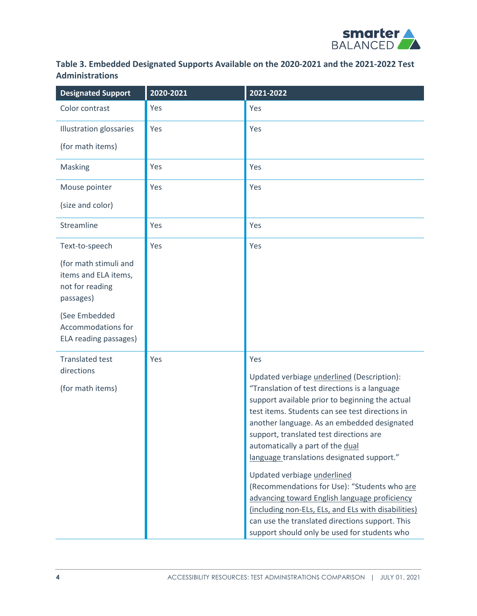

## **Table 3. Embedded Designated Supports Available on the 2020-2021 and the 2021-2022 Test Administrations**

| <b>Designated Support</b>                                                     | 2020-2021 | 2021-2022                                                                                                                                                                                                                                                                                                                                                                                                                                                                                                                                                                                                                                                                      |
|-------------------------------------------------------------------------------|-----------|--------------------------------------------------------------------------------------------------------------------------------------------------------------------------------------------------------------------------------------------------------------------------------------------------------------------------------------------------------------------------------------------------------------------------------------------------------------------------------------------------------------------------------------------------------------------------------------------------------------------------------------------------------------------------------|
| Color contrast                                                                | Yes       | Yes                                                                                                                                                                                                                                                                                                                                                                                                                                                                                                                                                                                                                                                                            |
| <b>Illustration glossaries</b>                                                | Yes       | Yes                                                                                                                                                                                                                                                                                                                                                                                                                                                                                                                                                                                                                                                                            |
| (for math items)                                                              |           |                                                                                                                                                                                                                                                                                                                                                                                                                                                                                                                                                                                                                                                                                |
| Masking                                                                       | Yes       | Yes                                                                                                                                                                                                                                                                                                                                                                                                                                                                                                                                                                                                                                                                            |
| Mouse pointer                                                                 | Yes       | Yes                                                                                                                                                                                                                                                                                                                                                                                                                                                                                                                                                                                                                                                                            |
| (size and color)                                                              |           |                                                                                                                                                                                                                                                                                                                                                                                                                                                                                                                                                                                                                                                                                |
| Streamline                                                                    | Yes       | Yes                                                                                                                                                                                                                                                                                                                                                                                                                                                                                                                                                                                                                                                                            |
| Text-to-speech                                                                | Yes       | Yes                                                                                                                                                                                                                                                                                                                                                                                                                                                                                                                                                                                                                                                                            |
| (for math stimuli and<br>items and ELA items,<br>not for reading<br>passages) |           |                                                                                                                                                                                                                                                                                                                                                                                                                                                                                                                                                                                                                                                                                |
| (See Embedded<br>Accommodations for<br>ELA reading passages)                  |           |                                                                                                                                                                                                                                                                                                                                                                                                                                                                                                                                                                                                                                                                                |
| <b>Translated test</b><br>directions<br>(for math items)                      | Yes       | Yes<br>Updated verbiage underlined (Description):<br>"Translation of test directions is a language<br>support available prior to beginning the actual<br>test items. Students can see test directions in<br>another language. As an embedded designated<br>support, translated test directions are<br>automatically a part of the dual<br>language translations designated support."<br>Updated verbiage underlined<br>(Recommendations for Use): "Students who are<br>advancing toward English language proficiency<br>(including non-ELs, ELs, and ELs with disabilities)<br>can use the translated directions support. This<br>support should only be used for students who |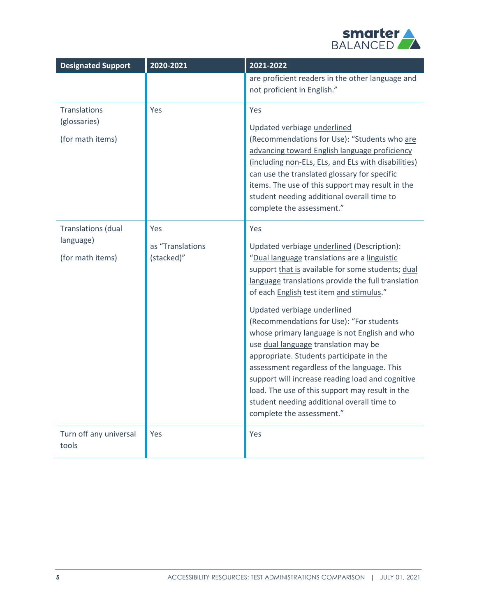

| <b>Designated Support</b>                                  | 2020-2021                             | 2021-2022                                                                                                                                                                                                                                                                                                                                                                                                                                                                                                                                                                                                                                                                                                 |
|------------------------------------------------------------|---------------------------------------|-----------------------------------------------------------------------------------------------------------------------------------------------------------------------------------------------------------------------------------------------------------------------------------------------------------------------------------------------------------------------------------------------------------------------------------------------------------------------------------------------------------------------------------------------------------------------------------------------------------------------------------------------------------------------------------------------------------|
|                                                            |                                       | are proficient readers in the other language and<br>not proficient in English."                                                                                                                                                                                                                                                                                                                                                                                                                                                                                                                                                                                                                           |
| Translations<br>(glossaries)<br>(for math items)           | Yes                                   | Yes<br>Updated verbiage underlined<br>(Recommendations for Use): "Students who are<br>advancing toward English language proficiency<br>(including non-ELs, ELs, and ELs with disabilities)<br>can use the translated glossary for specific<br>items. The use of this support may result in the<br>student needing additional overall time to<br>complete the assessment."                                                                                                                                                                                                                                                                                                                                 |
| <b>Translations (dual</b><br>language)<br>(for math items) | Yes<br>as "Translations<br>(stacked)" | Yes<br>Updated verbiage underlined (Description):<br>"Dual language translations are a linguistic<br>support that is available for some students; dual<br>language translations provide the full translation<br>of each English test item and stimulus."<br>Updated verbiage underlined<br>(Recommendations for Use): "For students<br>whose primary language is not English and who<br>use dual language translation may be<br>appropriate. Students participate in the<br>assessment regardless of the language. This<br>support will increase reading load and cognitive<br>load. The use of this support may result in the<br>student needing additional overall time to<br>complete the assessment." |
| Turn off any universal<br>tools                            | Yes                                   | Yes                                                                                                                                                                                                                                                                                                                                                                                                                                                                                                                                                                                                                                                                                                       |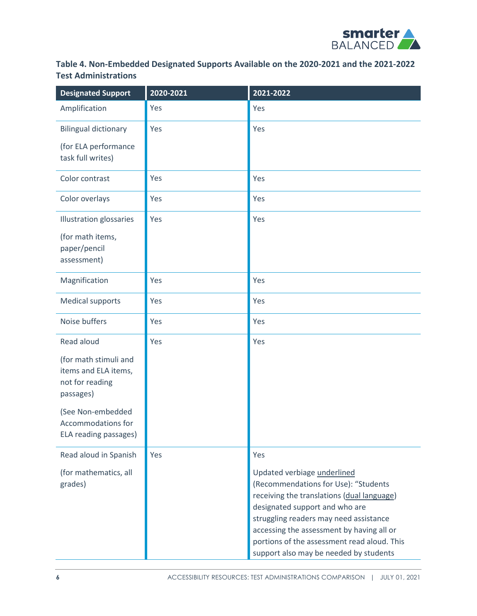

## **Table 4. Non-Embedded Designated Supports Available on the 2020-2021 and the 2021-2022 Test Administrations**

| <b>Designated Support</b>                                                     | 2020-2021 | 2021-2022                                                                                                                                                                                                                                                                                                                           |
|-------------------------------------------------------------------------------|-----------|-------------------------------------------------------------------------------------------------------------------------------------------------------------------------------------------------------------------------------------------------------------------------------------------------------------------------------------|
| Amplification                                                                 | Yes       | Yes                                                                                                                                                                                                                                                                                                                                 |
| <b>Bilingual dictionary</b>                                                   | Yes       | Yes                                                                                                                                                                                                                                                                                                                                 |
| (for ELA performance<br>task full writes)                                     |           |                                                                                                                                                                                                                                                                                                                                     |
| Color contrast                                                                | Yes       | Yes                                                                                                                                                                                                                                                                                                                                 |
| Color overlays                                                                | Yes       | Yes                                                                                                                                                                                                                                                                                                                                 |
| <b>Illustration glossaries</b>                                                | Yes       | Yes                                                                                                                                                                                                                                                                                                                                 |
| (for math items,<br>paper/pencil<br>assessment)                               |           |                                                                                                                                                                                                                                                                                                                                     |
| Magnification                                                                 | Yes       | Yes                                                                                                                                                                                                                                                                                                                                 |
| <b>Medical supports</b>                                                       | Yes       | Yes                                                                                                                                                                                                                                                                                                                                 |
| Noise buffers                                                                 | Yes       | Yes                                                                                                                                                                                                                                                                                                                                 |
| Read aloud                                                                    | Yes       | Yes                                                                                                                                                                                                                                                                                                                                 |
| (for math stimuli and<br>items and ELA items,<br>not for reading<br>passages) |           |                                                                                                                                                                                                                                                                                                                                     |
| (See Non-embedded<br>Accommodations for<br>ELA reading passages)              |           |                                                                                                                                                                                                                                                                                                                                     |
| Read aloud in Spanish                                                         | Yes       | Yes                                                                                                                                                                                                                                                                                                                                 |
| (for mathematics, all<br>grades)                                              |           | Updated verbiage underlined<br>(Recommendations for Use): "Students<br>receiving the translations (dual language)<br>designated support and who are<br>struggling readers may need assistance<br>accessing the assessment by having all or<br>portions of the assessment read aloud. This<br>support also may be needed by students |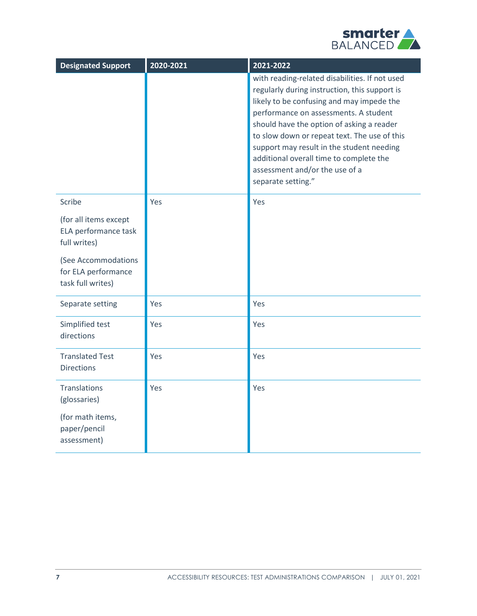

| <b>Designated Support</b>                                       | 2020-2021 | 2021-2022                                                                                                                                                                                                                                                                                                                                                                                                                          |
|-----------------------------------------------------------------|-----------|------------------------------------------------------------------------------------------------------------------------------------------------------------------------------------------------------------------------------------------------------------------------------------------------------------------------------------------------------------------------------------------------------------------------------------|
|                                                                 |           | with reading-related disabilities. If not used<br>regularly during instruction, this support is<br>likely to be confusing and may impede the<br>performance on assessments. A student<br>should have the option of asking a reader<br>to slow down or repeat text. The use of this<br>support may result in the student needing<br>additional overall time to complete the<br>assessment and/or the use of a<br>separate setting." |
| Scribe                                                          | Yes       | Yes                                                                                                                                                                                                                                                                                                                                                                                                                                |
| (for all items except<br>ELA performance task<br>full writes)   |           |                                                                                                                                                                                                                                                                                                                                                                                                                                    |
| (See Accommodations<br>for ELA performance<br>task full writes) |           |                                                                                                                                                                                                                                                                                                                                                                                                                                    |
| Separate setting                                                | Yes       | Yes                                                                                                                                                                                                                                                                                                                                                                                                                                |
| Simplified test<br>directions                                   | Yes       | Yes                                                                                                                                                                                                                                                                                                                                                                                                                                |
| <b>Translated Test</b><br><b>Directions</b>                     | Yes       | Yes                                                                                                                                                                                                                                                                                                                                                                                                                                |
| <b>Translations</b><br>(glossaries)                             | Yes       | Yes                                                                                                                                                                                                                                                                                                                                                                                                                                |
| (for math items,<br>paper/pencil<br>assessment)                 |           |                                                                                                                                                                                                                                                                                                                                                                                                                                    |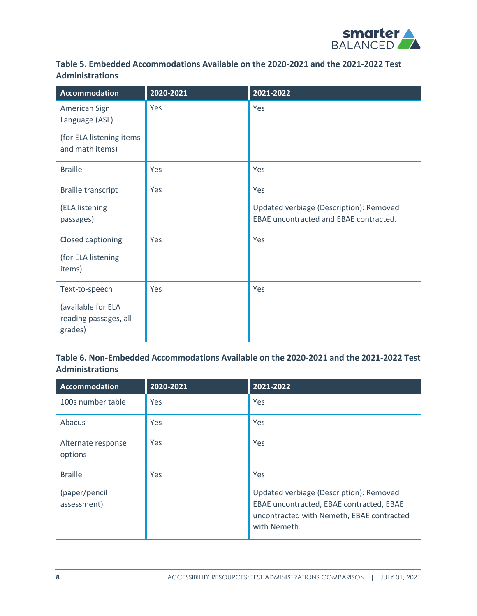

## **Table 5. Embedded Accommodations Available on the 2020-2021 and the 2021-2022 Test Administrations**

| <b>Accommodation</b>                                   | 2020-2021 | 2021-2022                                                                         |
|--------------------------------------------------------|-----------|-----------------------------------------------------------------------------------|
| American Sign<br>Language (ASL)                        | Yes       | Yes                                                                               |
| (for ELA listening items<br>and math items)            |           |                                                                                   |
| <b>Braille</b>                                         | Yes       | Yes                                                                               |
| <b>Braille transcript</b>                              | Yes       | Yes                                                                               |
| (ELA listening<br>passages)                            |           | Updated verbiage (Description): Removed<br>EBAE uncontracted and EBAE contracted. |
| Closed captioning                                      | Yes       | Yes                                                                               |
| (for ELA listening<br>items)                           |           |                                                                                   |
| Text-to-speech                                         | Yes       | Yes                                                                               |
| (available for ELA<br>reading passages, all<br>grades) |           |                                                                                   |

#### **Table 6. Non-Embedded Accommodations Available on the 2020-2021 and the 2021-2022 Test Administrations**

| <b>Accommodation</b>                           | 2020-2021 | 2021-2022                                                                                                                                               |
|------------------------------------------------|-----------|---------------------------------------------------------------------------------------------------------------------------------------------------------|
| 100s number table                              | Yes       | Yes                                                                                                                                                     |
| Abacus                                         | Yes       | Yes                                                                                                                                                     |
| Alternate response<br>options                  | Yes       | Yes                                                                                                                                                     |
| <b>Braille</b><br>(paper/pencil<br>assessment) | Yes       | Yes<br>Updated verbiage (Description): Removed<br>EBAE uncontracted, EBAE contracted, EBAE<br>uncontracted with Nemeth, EBAE contracted<br>with Nemeth. |